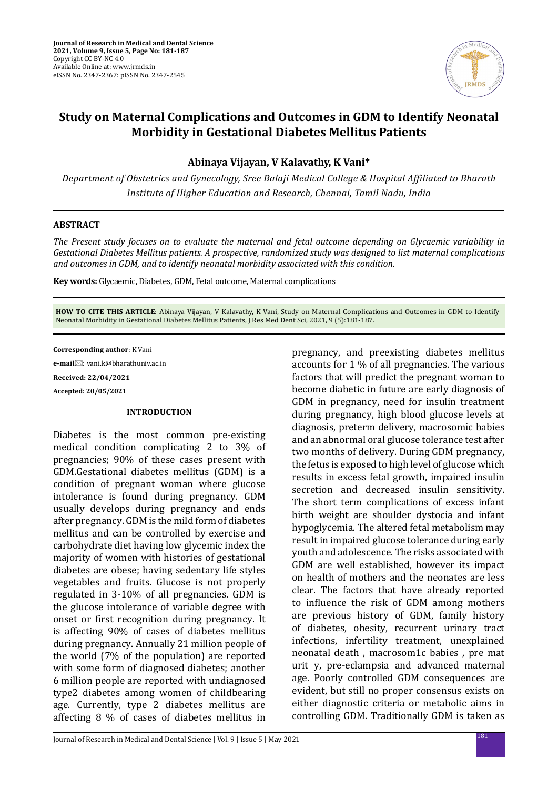

# **Study on Maternal Complications and Outcomes in GDM to Identify Neonatal Morbidity in Gestational Diabetes Mellitus Patients**

**Abinaya Vijayan, V Kalavathy, K Vani\***

*Department of Obstetrics and Gynecology, Sree Balaji Medical College & Hospital Affiliated to Bharath Institute of Higher Education and Research, Chennai, Tamil Nadu, India*

### **ABSTRACT**

*The Present study focuses on to evaluate the maternal and fetal outcome depending on Glycaemic variability in Gestational Diabetes Mellitus patients. A prospective, randomized study was designed to list maternal complications and outcomes in GDM, and to identify neonatal morbidity associated with this condition.*

**Key words:** Glycaemic, Diabetes, GDM, Fetal outcome, Maternal complications

**HOW TO CITE THIS ARTICLE**: Abinaya Vijayan, V Kalavathy, K Vani, Study on Maternal Complications and Outcomes in GDM to Identify Neonatal Morbidity in Gestational Diabetes Mellitus Patients, J Res Med Dent Sci, 2021, 9 (5):181-187.

**Corresponding author**: K Vani

**e-mail**: vani.k@bharathuniv.ac.in

**Received: 22/04/2021**

**Accepted: 20/05/2021**

#### **INTRODUCTION**

Diabetes is the most common pre-existing medical condition complicating 2 to 3% of pregnancies; 90% of these cases present with GDM.Gestational diabetes mellitus (GDM) is a condition of pregnant woman where glucose intolerance is found during pregnancy. GDM usually develops during pregnancy and ends after pregnancy. GDM is the mild form of diabetes mellitus and can be controlled by exercise and carbohydrate diet having low glycemic index the majority of women with histories of gestational diabetes are obese; having sedentary life styles vegetables and fruits. Glucose is not properly regulated in 3-10% of all pregnancies. GDM is the glucose intolerance of variable degree with onset or first recognition during pregnancy. It is affecting 90% of cases of diabetes mellitus during pregnancy. Annually 21 million people of the world (7% of the population) are reported with some form of diagnosed diabetes; another 6 million people are reported with undiagnosed type2 diabetes among women of childbearing age. Currently, type 2 diabetes mellitus are affecting 8 % of cases of diabetes mellitus in pregnancy, and preexisting diabetes mellitus accounts for 1 % of all pregnancies. The various factors that will predict the pregnant woman to become diabetic in future are early diagnosis of GDM in pregnancy, need for insulin treatment during pregnancy, high blood glucose levels at diagnosis, preterm delivery, macrosomic babies and an abnormal oral glucose tolerance test after two months of delivery. During GDM pregnancy, the fetus is exposed to high level of glucose which results in excess fetal growth, impaired insulin secretion and decreased insulin sensitivity. The short term complications of excess infant birth weight are shoulder dystocia and infant hypoglycemia. The altered fetal metabolism may result in impaired glucose tolerance during early youth and adolescence. The risks associated with GDM are well established, however its impact on health of mothers and the neonates are less clear. The factors that have already reported to influence the risk of GDM among mothers are previous history of GDM, family history of diabetes, obesity, recurrent urinary tract infections, infertility treatment, unexplained neonatal death , macrosom1c babies , pre mat urit y, pre-eclampsia and advanced maternal age. Poorly controlled GDM consequences are evident, but still no proper consensus exists on either diagnostic criteria or metabolic aims in controlling GDM. Traditionally GDM is taken as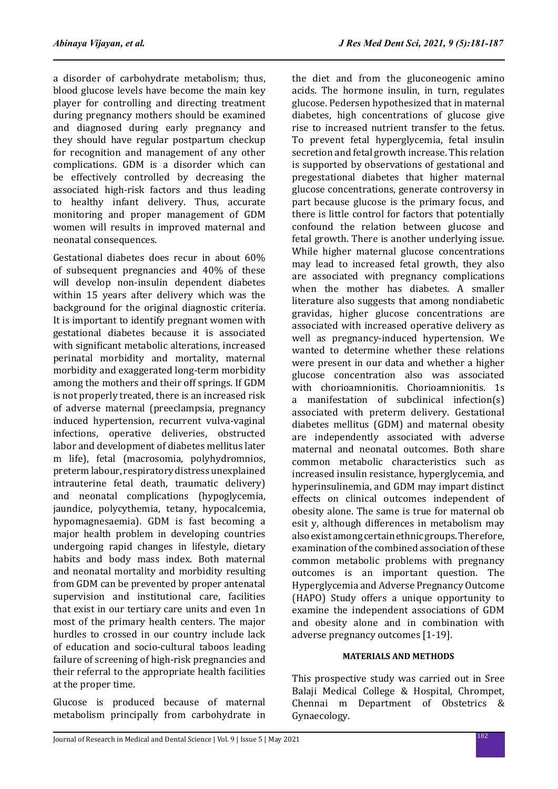a disorder of carbohydrate metabolism; thus, blood glucose levels have become the main key player for controlling and directing treatment during pregnancy mothers should be examined and diagnosed during early pregnancy and they should have regular postpartum checkup for recognition and management of any other complications. GDM is a disorder which can be effectively controlled by decreasing the associated high-risk factors and thus leading to healthy infant delivery. Thus, accurate monitoring and proper management of GDM women will results in improved maternal and neonatal consequences.

Gestational diabetes does recur in about 60% of subsequent pregnancies and 40% of these will develop non-insulin dependent diabetes within 15 years after delivery which was the background for the original diagnostic criteria. It is important to identify pregnant women with gestational diabetes because it is associated with significant metabolic alterations, increased perinatal morbidity and mortality, maternal morbidity and exaggerated long-term morbidity among the mothers and their off springs. If GDM is not properly treated, there is an increased risk of adverse maternal (preeclampsia, pregnancy induced hypertension, recurrent vulva-vaginal infections, operative deliveries, obstructed labor and development of diabetes mellitus later m life), fetal (macrosomia, polyhydromnios, preterm labour, respiratory distress unexplained intrauterine fetal death, traumatic delivery) and neonatal complications (hypoglycemia, jaundice, polycythemia, tetany, hypocalcemia, hypomagnesaemia). GDM is fast becoming a major health problem in developing countries undergoing rapid changes in lifestyle, dietary habits and body mass index. Both maternal and neonatal mortality and morbidity resulting from GDM can be prevented by proper antenatal supervision and institutional care, facilities that exist in our tertiary care units and even 1n most of the primary health centers. The major hurdles to crossed in our country include lack of education and socio-cultural taboos leading failure of screening of high-risk pregnancies and their referral to the appropriate health facilities at the proper time.

Glucose is produced because of maternal metabolism principally from carbohydrate in the diet and from the gluconeogenic amino acids. The hormone insulin, in turn, regulates glucose. Pedersen hypothesized that in maternal diabetes, high concentrations of glucose give rise to increased nutrient transfer to the fetus. To prevent fetal hyperglycemia, fetal insulin secretion and fetal growth increase. This relation is supported by observations of gestational and pregestational diabetes that higher maternal glucose concentrations, generate controversy in part because glucose is the primary focus, and there is little control for factors that potentially confound the relation between glucose and fetal growth. There is another underlying issue. While higher maternal glucose concentrations may lead to increased fetal growth, they also are associated with pregnancy complications when the mother has diabetes. A smaller literature also suggests that among nondiabetic gravidas, higher glucose concentrations are associated with increased operative delivery as well as pregnancy-induced hypertension. We wanted to determine whether these relations were present in our data and whether a higher glucose concentration also was associated with chorioamnionitis. Chorioamnionitis. 1s a manifestation of subclinical infection(s) associated with preterm delivery. Gestational diabetes mellitus (GDM) and maternal obesity are independently associated with adverse maternal and neonatal outcomes. Both share common metabolic characteristics such as increased insulin resistance, hyperglycemia, and hyperinsulinemia, and GDM may impart distinct effects on clinical outcomes independent of obesity alone. The same is true for maternal ob esit y, although differences in metabolism may also exist among certain ethnic groups. Therefore, examination of the combined association of these common metabolic problems with pregnancy outcomes is an important question. The Hyperglycemia and Adverse Pregnancy Outcome (HAPO) Study offers a unique opportunity to examine the independent associations of GDM and obesity alone and in combination with adverse pregnancy outcomes [1-19].

### **MATERIALS AND METHODS**

This prospective study was carried out in Sree Balaji Medical College & Hospital, Chrompet, Chennai m Department of Obstetrics & Gynaecology.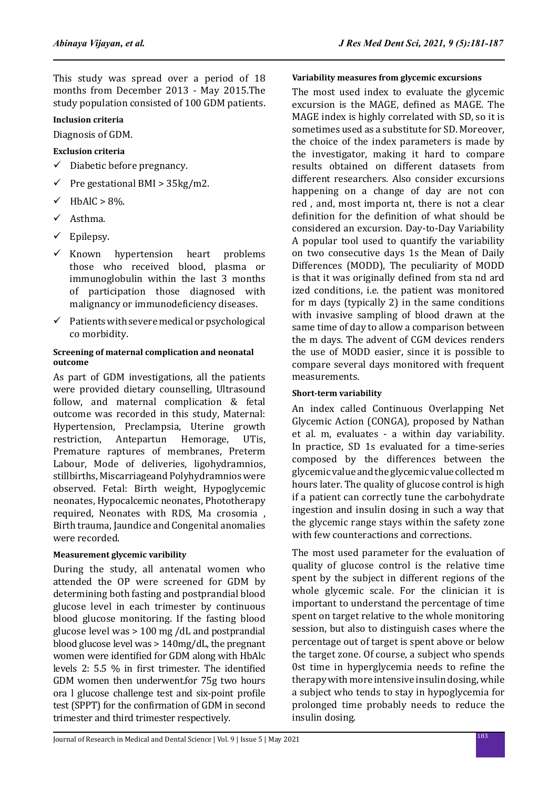This study was spread over a period of 18 months from December 2013 - May 2015.The study population consisted of 100 GDM patients.

### **Inclusion criteria**

Diagnosis of GDM.

**Exclusion criteria**

- $\checkmark$  Diabetic before pregnancy.
- 9 Pre gestational BMI > 35kg/m2.
- $\checkmark$  HbAlC > 8%.
- $\checkmark$  Asthma.
- $\checkmark$  Epilepsy.
- $\checkmark$  Known hypertension heart problems those who received blood, plasma or immunoglobulin within the last 3 months of participation those diagnosed with malignancy or immunodeficiency diseases.
- $\checkmark$  Patients with severe medical or psychological co morbidity.

#### **Screening of maternal complication and neonatal outcome**

As part of GDM investigations, all the patients were provided dietary counselling, Ultrasound follow, and maternal complication & fetal outcome was recorded in this study, Maternal: Hypertension, Preclampsia, Uterine growth<br>restriction. Antepartun Hemorage. UTis. Antepartun Hemorage, Premature raptures of membranes, Preterm Labour, Mode of deliveries, ligohydramnios, stillbirths, Miscarriageand Polyhydramnios were observed. Fetal: Birth weight, Hypoglycemic neonates, Hypocalcemic neonates, Phototherapy required, Neonates with RDS, Ma crosomia , Birth trauma, Jaundice and Congenital anomalies were recorded.

### **Measurement glycemic varibility**

During the study, all antenatal women who attended the OP were screened for GDM by determining both fasting and postprandial blood glucose level in each trimester by continuous blood glucose monitoring. If the fasting blood glucose level was > 100 mg /dL and postprandial blood glucose level was > 140mg/dL, the pregnant women were identified for GDM along with HbAlc levels 2: 5.5 % in first trimester. The identified GDM women then underwent.for 75g two hours ora l glucose challenge test and six-point profile test (SPPT) for the confirmation of GDM in second trimester and third trimester respectively.

### **Variability measures from glycemic excursions**

The most used index to evaluate the glycemic excursion is the MAGE, defined as MAGE. The MAGE index is highly correlated with SD, so it is sometimes used as a substitute for SD. Moreover, the choice of the index parameters is made by the investigator, making it hard to compare results obtained on different datasets from different researchers. Also consider excursions happening on a change of day are not con red , and, most importa nt, there is not a clear definition for the definition of what should be considered an excursion. Day-to-Day Variability A popular tool used to quantify the variability on two consecutive days 1s the Mean of Daily Differences (MODD), The peculiarity of MODD is that it was originally defined from sta nd ard ized conditions, i.e. the patient was monitored for m days (typically 2) in the same conditions with invasive sampling of blood drawn at the same time of day to allow a comparison between the m days. The advent of CGM devices renders the use of MODD easier, since it is possible to compare several days monitored with frequent measurements.

### **Short-term variability**

An index called Continuous Overlapping Net Glycemic Action (CONGA), proposed by Nathan et al. m, evaluates - a within day variability. In practice, SD 1s evaluated for a time-series composed by the differences between the glycemic value and the glycemic value collected m hours later. The quality of glucose control is high if a patient can correctly tune the carbohydrate ingestion and insulin dosing in such a way that the glycemic range stays within the safety zone with few counteractions and corrections.

The most used parameter for the evaluation of quality of glucose control is the relative time spent by the subject in different regions of the whole glycemic scale. For the clinician it is important to understand the percentage of time spent on target relative to the whole monitoring session, but also to distinguish cases where the percentage out of target is spent above or below the target zone. Of course, a subject who spends 0st time in hyperglycemia needs to refine the therapy with more intensive insulin dosing, while a subject who tends to stay in hypoglycemia for prolonged time probably needs to reduce the insulin dosing.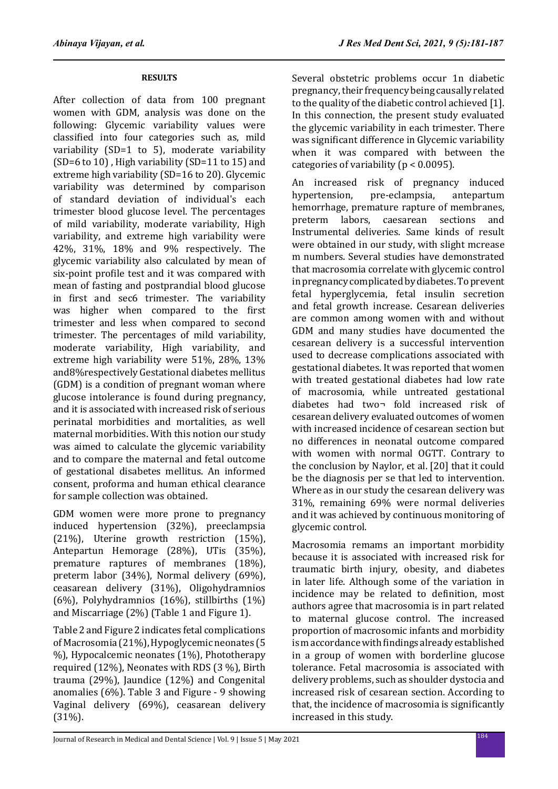### **RESULTS**

After collection of data from 100 pregnant women with GDM, analysis was done on the following: Glycemic variability values were classified into four categories such as, mild variability (SD=1 to 5), moderate variability (SD=6 to 10) , High variability (SD=11 to 15) and extreme high variability (SD=16 to 20). Glycemic variability was determined by comparison of standard deviation of individual's each trimester blood glucose level. The percentages of mild variability, moderate variability, High variability, and extreme high variability were 42%, 31%, 18% and 9% respectively. The glycemic variability also calculated by mean of six-point profile test and it was compared with mean of fasting and postprandial blood glucose in first and sec6 trimester. The variability was higher when compared to the first trimester and less when compared to second trimester. The percentages of mild variability, moderate variability, High variability, and extreme high variability were 51%, 28%, 13% and8%respectively Gestational diabetes mellitus (GDM) is a condition of pregnant woman where glucose intolerance is found during pregnancy, and it is associated with increased risk of serious perinatal morbidities and mortalities, as well maternal morbidities. With this notion our study was aimed to calculate the glycemic variability and to compare the maternal and fetal outcome of gestational disabetes mellitus. An informed consent, proforma and human ethical clearance for sample collection was obtained.

GDM women were more prone to pregnancy induced hypertension (32%), preeclampsia (21%), Uterine growth restriction (15%), Antepartun Hemorage (28%), UTis (35%), premature raptures of membranes (18%), preterm labor (34%), Normal delivery (69%), ceasarean delivery (31%), Oligohydramnios (6%), Polyhydramnios (16%), stillbirths (1%) and Miscarriage (2%) (Table 1 and Figure 1).

Table 2 and Figure 2 indicates fetal complications of Macrosomia (21%), Hypoglycemic neonates (5 %), Hypocalcemic neonates (1%), Phototherapy required (12%), Neonates with RDS (3 %), Birth trauma (29%), Jaundice (12%) and Congenital anomalies (6%). Table 3 and Figure - 9 showing Vaginal delivery (69%), ceasarean delivery (31%).

Several obstetric problems occur 1n diabetic pregnancy, their frequency being causally related to the quality of the diabetic control achieved [1]. In this connection, the present study evaluated the glycemic variability in each trimester. There was significant difference in Glycemic variability when it was compared with between the categories of variability ( $p < 0.0095$ ).

An increased risk of pregnancy induced<br>hvpertension. pre-eclampsia. antepartum pre-eclampsia, hemorrhage, premature rapture of membranes, preterm labors, caesarean sections and Instrumental deliveries. Same kinds of result were obtained in our study, with slight mcrease m numbers. Several studies have demonstrated that macrosomia correlate with glycemic control in pregnancy complicated by diabetes. To prevent fetal hyperglycemia, fetal insulin secretion and fetal growth increase. Cesarean deliveries are common among women with and without GDM and many studies have documented the cesarean delivery is a successful intervention used to decrease complications associated with gestational diabetes. It was reported that women with treated gestational diabetes had low rate of macrosomia, while untreated gestational diabetes had two¬ fold increased risk of cesarean delivery evaluated outcomes of women with increased incidence of cesarean section but no differences in neonatal outcome compared with women with normal OGTT. Contrary to the conclusion by Naylor, et al. [20] that it could be the diagnosis per se that led to intervention. Where as in our study the cesarean delivery was 31%, remaining 69% were normal deliveries and it was achieved by continuous monitoring of glycemic control.

Macrosomia remams an important morbidity because it is associated with increased risk for traumatic birth injury, obesity, and diabetes in later life. Although some of the variation in incidence may be related to definition, most authors agree that macrosomia is in part related to maternal glucose control. The increased proportion of macrosomic infants and morbidity is m accordance with findings already established in a group of women with borderline glucose tolerance. Fetal macrosomia is associated with delivery problems, such as shoulder dystocia and increased risk of cesarean section. According to that, the incidence of macrosomia is significantly increased in this study.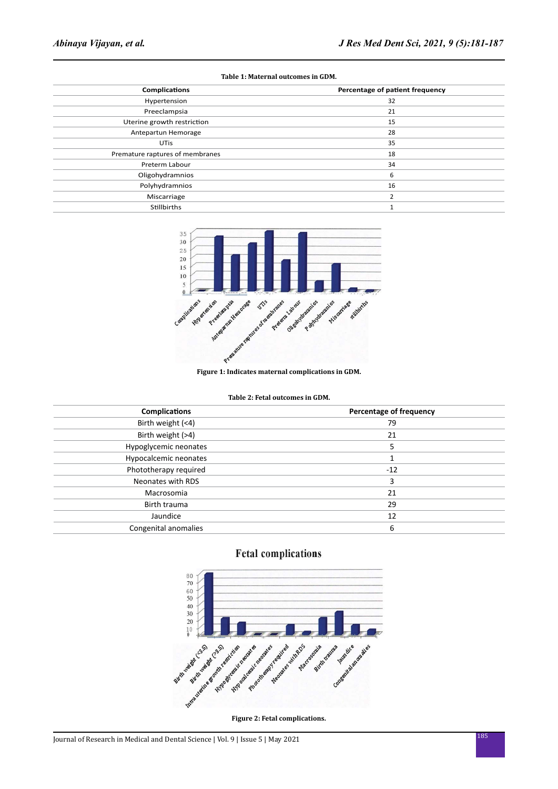| <b>Complications</b>            | Percentage of patient frequency |
|---------------------------------|---------------------------------|
| Hypertension                    | 32                              |
| Preeclampsia                    | 21                              |
| Uterine growth restriction      | 15                              |
| Antepartun Hemorage             | 28                              |
| <b>UTis</b>                     | 35                              |
| Premature raptures of membranes | 18                              |
| Preterm Labour                  | 34                              |
| Oligohydramnios                 | 6                               |
| Polyhydramnios                  | 16                              |
| Miscarriage                     | h                               |
| Stillbirths                     |                                 |

#### **Table 1: Maternal outcomes in GDM.**



#### **Figure 1: Indicates maternal complications in GDM.**

| <b>Complications</b>  | Percentage of frequency |
|-----------------------|-------------------------|
| Birth weight (<4)     | 79                      |
| Birth weight (>4)     | 21                      |
| Hypoglycemic neonates | 5                       |
| Hypocalcemic neonates |                         |
| Phototherapy required | $-12$                   |
| Neonates with RDS     | 3                       |
| Macrosomia            | 21                      |
| Birth trauma          | 29                      |
| Jaundice              | 12                      |
| Congenital anomalies  | 6                       |
|                       |                         |

## **Fetal complications**

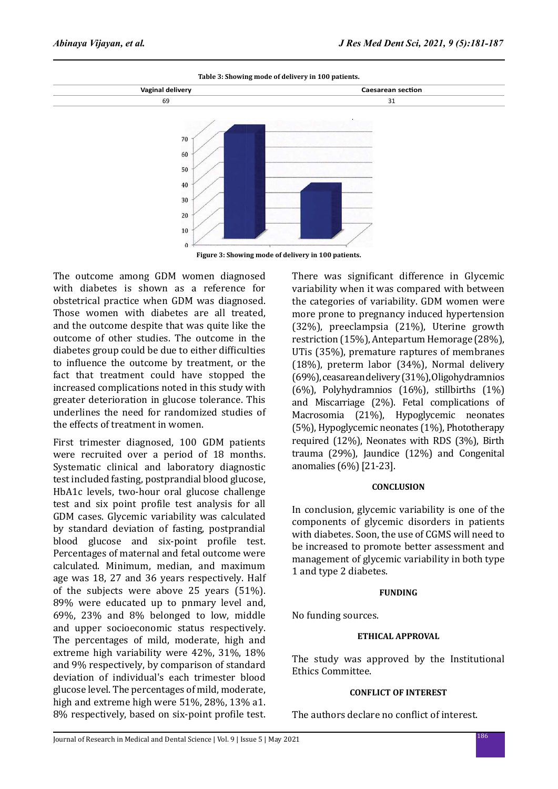

**Figure 3: Showing mode of delivery in 100 patients.**

The outcome among GDM women diagnosed with diabetes is shown as a reference for obstetrical practice when GDM was diagnosed. Those women with diabetes are all treated, and the outcome despite that was quite like the outcome of other studies. The outcome in the diabetes group could be due to either difficulties to influence the outcome by treatment, or the fact that treatment could have stopped the increased complications noted in this study with greater deterioration in glucose tolerance. This underlines the need for randomized studies of the effects of treatment in women.

First trimester diagnosed, 100 GDM patients were recruited over a period of 18 months. Systematic clinical and laboratory diagnostic test included fasting, postprandial blood glucose, HbA1c levels, two-hour oral glucose challenge test and six point profile test analysis for all GDM cases. Glycemic variability was calculated by standard deviation of fasting, postprandial blood glucose and six-point profile test. Percentages of maternal and fetal outcome were calculated. Minimum, median, and maximum age was 18, 27 and 36 years respectively. Half of the subjects were above 25 years (51%). 89% were educated up to pnmary level and, 69%, 23% and 8% belonged to low, middle and upper socioeconomic status respectively. The percentages of mild, moderate, high and extreme high variability were 42%, 31%, 18% and 9% respectively, by comparison of standard deviation of individual's each trimester blood glucose level. The percentages of mild, moderate, high and extreme high were 51%, 28%, 13% a1. 8% respectively, based on six-point profile test. There was significant difference in Glycemic variability when it was compared with between the categories of variability. GDM women were more prone to pregnancy induced hypertension (32%), preeclampsia (21%), Uterine growth restriction (15%), Antepartum Hemorage (28%), UTis (35%), premature raptures of membranes (18%), preterm labor (34%), Normal delivery (69%), ceasarean delivery (31%), Oligohydramnios (6%), Polyhydramnios (16%), stillbirths (1%) and Miscarriage (2%). Fetal complications of Macrosomia (21%), Hypoglycemic neonates (5%), Hypoglycemic neonates (1%), Phototherapy required (12%), Neonates with RDS (3%), Birth trauma (29%), Jaundice (12%) and Congenital anomalies (6%) [21-23].

### **CONCLUSION**

In conclusion, glycemic variability is one of the components of glycemic disorders in patients with diabetes. Soon, the use of CGMS will need to be increased to promote better assessment and management of glycemic variability in both type 1 and type 2 diabetes.

### **FUNDING**

No funding sources.

### **ETHICAL APPROVAL**

The study was approved by the Institutional Ethics Committee.

### **CONFLICT OF INTEREST**

The authors declare no conflict of interest.